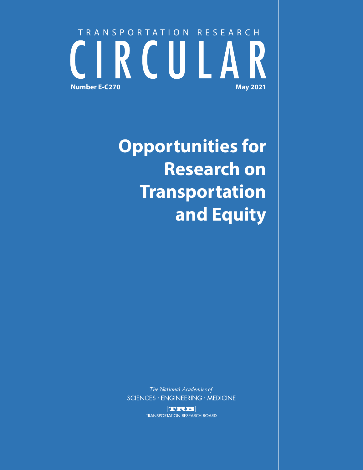# TRANSPORTATION RESEARCH CIRCULA **Number E-C270 May 2021**

**Opportunities for Research on Transportation and Equity**

The National Academies of SCIENCES · ENGINEERING · MEDICINE

> TRB **TRANSPORTATION RESEARCH BOARD**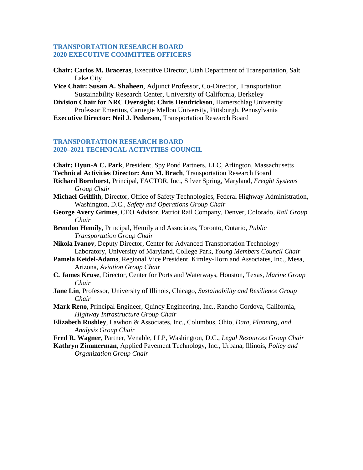#### **TRANSPORTATION RESEARCH BOARD 2020 EXECUTIVE COMMITTEE OFFICERS**

- **Chair: Carlos M. Braceras**, Executive Director, Utah Department of Transportation, Salt Lake City
- **Vice Chair: Susan A. Shaheen**, Adjunct Professor, Co-Director, Transportation Sustainability Research Center, University of California, Berkeley
- **Division Chair for NRC Oversight: Chris Hendrickson**, Hamerschlag University Professor Emeritus, Carnegie Mellon University, Pittsburgh, Pennsylvania
- **Executive Director: Neil J. Pedersen**, Transportation Research Board

#### **TRANSPORTATION RESEARCH BOARD 2020–2021 TECHNICAL ACTIVITIES COUNCIL**

**Chair: Hyun-A C. Park**, President, Spy Pond Partners, LLC, Arlington, Massachusetts **Technical Activities Director: Ann M. Brach**, Transportation Research Board

- **Richard Bornhorst**, Principal, FACTOR, Inc., Silver Spring, Maryland, *Freight Systems Group Chair*
- **Michael Griffith**, Director, Office of Safety Technologies, Federal Highway Administration, Washington, D.C., *Safety and Operations Group Chair*
- **George Avery Grimes**, CEO Advisor, Patriot Rail Company, Denver, Colorado, *Rail Group Chair*
- **Brendon Hemily**, Principal, Hemily and Associates, Toronto, Ontario, *Public Transportation Group Chair*
- **Nikola Ivanov**, Deputy Director, Center for Advanced Transportation Technology Laboratory, University of Maryland, College Park, *Young Members Council Chair*
- **Pamela Keidel-Adams**, Regional Vice President, Kimley-Horn and Associates, Inc., Mesa, Arizona, *Aviation Group Chair*
- **C. James Kruse**, Director, Center for Ports and Waterways, Houston, Texas, *Marine Group Chair*
- **Jane Lin**, Professor, University of Illinois, Chicago, *Sustainability and Resilience Group Chair*
- **Mark Reno**, Principal Engineer, Quincy Engineering, Inc., Rancho Cordova, California, *Highway Infrastructure Group Chair*
- **Elizabeth Rushley**, Lawhon & Associates, Inc., Columbus, Ohio, *Data, Planning, and Analysis Group Chair*
- **Fred R. Wagner**, Partner, Venable, LLP, Washington, D.C., *Legal Resources Group Chair*
- **Kathryn Zimmerman**, Applied Pavement Technology, Inc., Urbana, Illinois, *Policy and Organization Group Chair*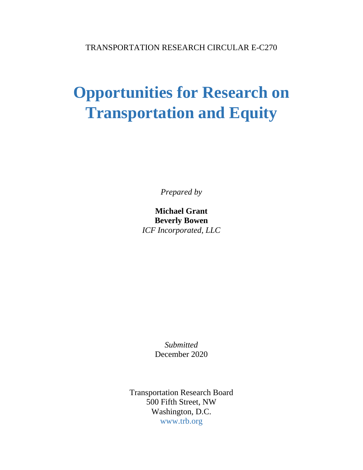## **Opportunities for Research on Transportation and Equity**

*Prepared by* 

**Michael Grant Beverly Bowen**  *ICF Incorporated, LLC* 

> *Submitted*  December 2020

Transportation Research Board 500 Fifth Street, NW Washington, D.C. www.trb.org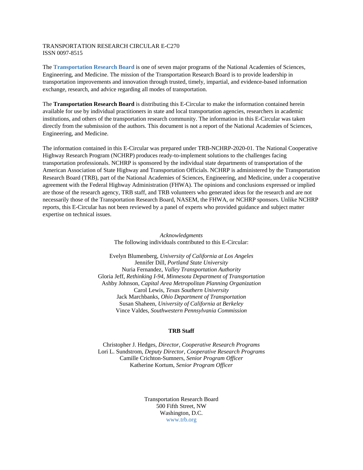#### TRANSPORTATION RESEARCH CIRCULAR E-C270 ISSN 0097-8515

The **[Transportation Research Board](#page-38-0)** is one of seven major programs of the National Academies of Sciences, Engineering, and Medicine. The mission of the Transportation Research Board is to provide leadership in transportation improvements and innovation through trusted, timely, impartial, and evidence-based information exchange, research, and advice regarding all modes of transportation.

The **Transportation Research Board** is distributing this E-Circular to make the information contained herein available for use by individual practitioners in state and local transportation agencies, researchers in academic institutions, and others of the transportation research community. The information in this E-Circular was taken directly from the submission of the authors. This document is not a report of the National Academies of Sciences, Engineering, and Medicine.

The information contained in this E-Circular was prepared under TRB-NCHRP-2020-01. The National Cooperative Highway Research Program (NCHRP) produces ready-to-implement solutions to the challenges facing transportation professionals. NCHRP is sponsored by the individual state departments of transportation of the American Association of State Highway and Transportation Officials. NCHRP is administered by the Transportation Research Board (TRB), part of the National Academies of Sciences, Engineering, and Medicine, under a cooperative agreement with the Federal Highway Administration (FHWA). The opinions and conclusions expressed or implied are those of the research agency, TRB staff, and TRB volunteers who generated ideas for the research and are not necessarily those of the Transportation Research Board, NASEM, the FHWA, or NCHRP sponsors. Unlike NCHRP reports, this E-Circular has not been reviewed by a panel of experts who provided guidance and subject matter expertise on technical issues.

> *Acknowledgments*  The following individuals contributed to this E-Circular:

Evelyn Blumenberg, *University of California at Los Angeles*  Jennifer Dill*, Portland State University*  Nuria Fernandez*, Valley Transportation Authority*  Gloria Jeff, *Rethinking I-94, Minnesota Department of Transportation*  Ashby Johnson*, Capital Area Metropolitan Planning Organization*  Carol Lewis*, Texas Southern University*  Jack Marchbanks*, Ohio Department of Transportation*  Susan Shaheen*, University of California at Berkeley*  Vince Valdes*, Southwestern Pennsylvania Commission* 

#### **TRB Staff**

Christopher J. Hedges, *Director, Cooperative Research Programs* Lori L. Sundstrom, *Deputy Director, Cooperative Research Programs* Camille Crichton-Sumners, *Senior Program Officer* Katherine Kortum, *Senior Program Officer* 

> Transportation Research Board 500 Fifth Street, NW Washington, D.C. www.trb.org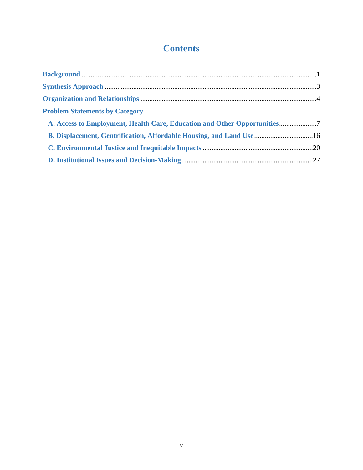## **Contents**

| <b>Problem Statements by Category</b>                                 |  |
|-----------------------------------------------------------------------|--|
|                                                                       |  |
| B. Displacement, Gentrification, Affordable Housing, and Land Use  16 |  |
|                                                                       |  |
|                                                                       |  |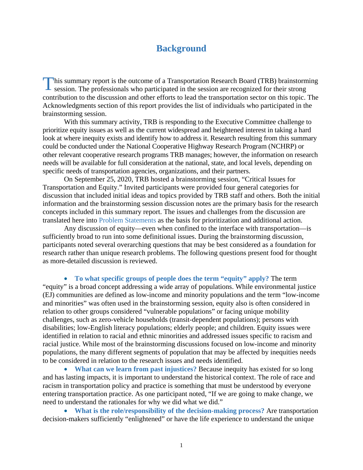### **Background**

<span id="page-5-0"></span>This summary report is the outcome of a Transportation Research Board (TRB) brainstorming session. The professionals who participated in the session are recognized for their strong session. The professionals who participated in the session are recognized for their strong contribution to the discussion and other efforts to lead the transportation sector on this topic. The Acknowledgments section of this report provides the list of individuals who participated in the brainstorming session.

With this summary activity, TRB is responding to the Executive Committee challenge to prioritize equity issues as well as the current widespread and heightened interest in taking a hard look at where inequity exists and identify how to address it. Research resulting from this summary could be conducted under the National Cooperative Highway Research Program (NCHRP) or other relevant cooperative research programs TRB manages; however, the information on research needs will be available for full consideration at the national, state, and local levels, depending on specific needs of transportation agencies, organizations, and their partners.

On September 25, 2020, TRB hosted a brainstorming session, "Critical Issues for Transportation and Equity." Invited participants were provided four general categories for discussion that included initial ideas and topics provided by TRB staff and others. Both the initial information and the brainstorming session discussion notes are the primary basis for the research concepts included in this summary report. The issues and challenges from the discussion are translated here into Problem Statements as the basis for prioritization and additional action.

Any discussion of equity—even when confined to the interface with transportation—is sufficiently broad to run into some definitional issues. During the brainstorming discussion, participants noted several overarching questions that may be best considered as a foundation for research rather than unique research problems. The following questions present food for thought as more-detailed discussion is reviewed.

• **To what specific groups of people does the term "equity" apply?** The term "equity" is a broad concept addressing a wide array of populations. While environmental justice (EJ) communities are defined as low-income and minority populations and the term "low-income and minorities" was often used in the brainstorming session, equity also is often considered in relation to other groups considered "vulnerable populations" or facing unique mobility challenges, such as zero-vehicle households (transit-dependent populations); persons with disabilities; low-English literacy populations; elderly people; and children. Equity issues were identified in relation to racial and ethnic minorities and addressed issues specific to racism and racial justice. While most of the brainstorming discussions focused on low-income and minority populations, the many different segments of population that may be affected by inequities needs to be considered in relation to the research issues and needs identified.

• **What can we learn from past injustices?** Because inequity has existed for so long and has lasting impacts, it is important to understand the historical context. The role of race and racism in transportation policy and practice is something that must be understood by everyone entering transportation practice. As one participant noted, "If we are going to make change, we need to understand the rationales for why we did what we did."

• **What is the role/responsibility of the decision-making process?** Are transportation decision-makers sufficiently "enlightened" or have the life experience to understand the unique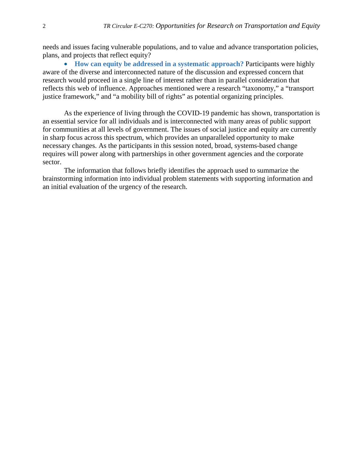needs and issues facing vulnerable populations, and to value and advance transportation policies, plans, and projects that reflect equity?

• **How can equity be addressed in a systematic approach?** Participants were highly aware of the diverse and interconnected nature of the discussion and expressed concern that research would proceed in a single line of interest rather than in parallel consideration that reflects this web of influence. Approaches mentioned were a research "taxonomy," a "transport justice framework," and "a mobility bill of rights" as potential organizing principles.

As the experience of living through the COVID-19 pandemic has shown, transportation is an essential service for all individuals and is interconnected with many areas of public support for communities at all levels of government. The issues of social justice and equity are currently in sharp focus across this spectrum, which provides an unparalleled opportunity to make necessary changes. As the participants in this session noted, broad, systems-based change requires will power along with partnerships in other government agencies and the corporate sector.

The information that follows briefly identifies the approach used to summarize the brainstorming information into individual problem statements with supporting information and an initial evaluation of the urgency of the research.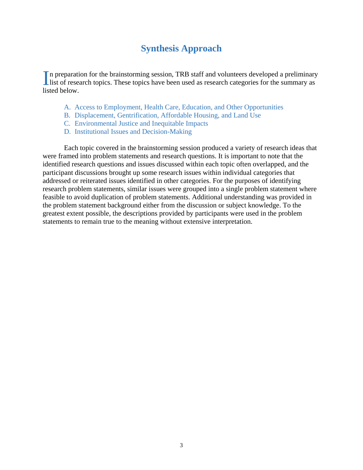## **Synthesis Approach**

<span id="page-7-0"></span>In preparation for the brainstorming session, TRB staff and volunteers developed a preliminary In preparation for the brainstorming session, TRB staff and volunteers developed a preliminary<br>list of research topics. These topics have been used as research categories for the summary as listed below.

- A. Access to Employment, Health Care, Education, and Other Opportunities
- B. Displacement, Gentrification, Affordable Housing, and Land Use
- C. Environmental Justice and Inequitable Impacts
- D. Institutional Issues and Decision-Making

Each topic covered in the brainstorming session produced a variety of research ideas that were framed into problem statements and research questions. It is important to note that the identified research questions and issues discussed within each topic often overlapped, and the participant discussions brought up some research issues within individual categories that addressed or reiterated issues identified in other categories. For the purposes of identifying research problem statements, similar issues were grouped into a single problem statement where feasible to avoid duplication of problem statements. Additional understanding was provided in the problem statement background either from the discussion or subject knowledge. To the greatest extent possible, the descriptions provided by participants were used in the problem statements to remain true to the meaning without extensive interpretation.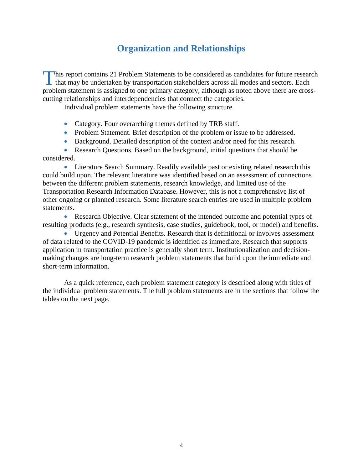## **Organization and Relationships**

<span id="page-8-0"></span>This report contains 21 Problem Statements to be considered as candidates for future research that may be undertaken by transportation stakeholders across all modes and sectors. Each that may be undertaken by transportation stakeholders across all modes and sectors. Each problem statement is assigned to one primary category, although as noted above there are crosscutting relationships and interdependencies that connect the categories.

Individual problem statements have the following structure.

- Category. Four overarching themes defined by TRB staff.
- Problem Statement. Brief description of the problem or issue to be addressed.
- Background. Detailed description of the context and/or need for this research.

• Research Questions. Based on the background, initial questions that should be considered.

• Literature Search Summary. Readily available past or existing related research this could build upon. The relevant literature was identified based on an assessment of connections between the different problem statements, research knowledge, and limited use of the Transportation Research Information Database. However, this is not a comprehensive list of other ongoing or planned research. Some literature search entries are used in multiple problem statements.

• Research Objective. Clear statement of the intended outcome and potential types of resulting products (e.g., research synthesis, case studies, guidebook, tool, or model) and benefits.

• Urgency and Potential Benefits. Research that is definitional or involves assessment of data related to the COVID-19 pandemic is identified as immediate. Research that supports application in transportation practice is generally short term. Institutionalization and decisionmaking changes are long-term research problem statements that build upon the immediate and short-term information.

As a quick reference, each problem statement category is described along with titles of the individual problem statements. The full problem statements are in the sections that follow the tables on the next page.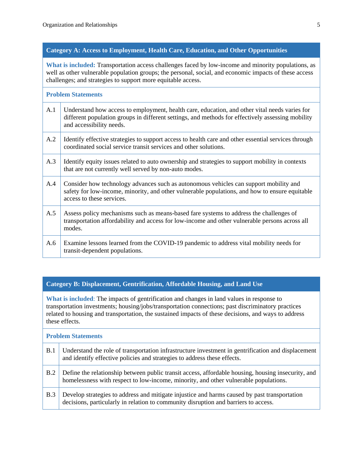#### **Category A: Access to Employment, Health Care, Education, and Other Opportunities**

**What is included:** Transportation access challenges faced by low-income and minority populations, as well as other vulnerable population groups; the personal, social, and economic impacts of these access challenges; and strategies to support more equitable access.

#### **Problem Statements**

- A.1 Understand how access to employment, health care, education, and other vital needs varies for different population groups in different settings, and methods for effectively assessing mobility and accessibility needs.
- A.2 Identify effective strategies to support access to health care and other essential services through coordinated social service transit services and other solutions.
- A.3 Identify equity issues related to auto ownership and strategies to support mobility in contexts that are not currently well served by non-auto modes.
- A.4 Consider how technology advances such as autonomous vehicles can support mobility and safety for low-income, minority, and other vulnerable populations, and how to ensure equitable access to these services.
- A.5 Assess policy mechanisms such as means-based fare systems to address the challenges of transportation affordability and access for low-income and other vulnerable persons across all modes.
- A.6 Examine lessons learned from the COVID-19 pandemic to address vital mobility needs for transit-dependent populations.

#### **Category B: Displacement, Gentrification, Affordable Housing, and Land Use**

**What is included**: The impacts of gentrification and changes in land values in response to transportation investments; housing/jobs/transportation connections; past discriminatory practices related to housing and transportation, the sustained impacts of these decisions, and ways to address these effects.

#### **Problem Statements**

| <b>B.1</b> | Understand the role of transportation infrastructure investment in gentrification and displacement<br>and identify effective policies and strategies to address these effects.             |
|------------|--------------------------------------------------------------------------------------------------------------------------------------------------------------------------------------------|
| <b>B.2</b> | Define the relationship between public transit access, affordable housing, housing insecurity, and<br>homelessness with respect to low-income, minority, and other vulnerable populations. |
| <b>B.3</b> | Develop strategies to address and mitigate injustice and harms caused by past transportation<br>decisions, particularly in relation to community disruption and barriers to access.        |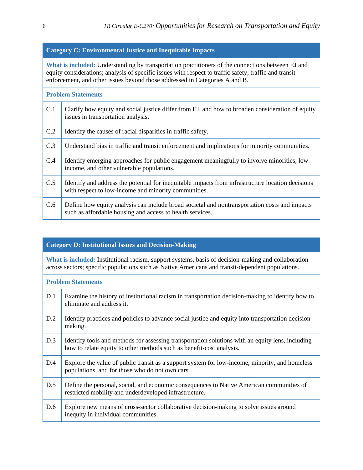#### **Category C: Environmental Justice and Inequitable Impacts**

**What is included:** Understanding by transportation practitioners of the connections between EJ and equity considerations; analysis of specific issues with respect to traffic safety, traffic and transit enforcement, and other issues beyond those addressed in Categories A and B.

#### **Problem Statements**

| C.1 | Clarify how equity and social justice differ from EJ, and how to broaden consideration of equity<br>issues in transportation analysis.                     |
|-----|------------------------------------------------------------------------------------------------------------------------------------------------------------|
| C.2 | Identify the causes of racial disparities in traffic safety.                                                                                               |
| C.3 | Understand bias in traffic and transit enforcement and implications for minority communities.                                                              |
| C.4 | Identify emerging approaches for public engagement meaningfully to involve minorities, low-<br>income, and other vulnerable populations.                   |
| C.5 | Identify and address the potential for inequitable impacts from infrastructure location decisions<br>with respect to low-income and minority communities.  |
| C.6 | Define how equity analysis can include broad societal and nontransportation costs and impacts<br>such as affordable housing and access to health services. |

#### **Category D: Institutional Issues and Decision-Making**

**What is included:** Institutional racism, support systems, basis of decision-making and collaboration across sectors; specific populations such as Native Americans and transit-dependent populations.

#### **Problem Statements**

| D.1 | Examine the history of institutional racism in transportation decision-making to identify how to<br>eliminate and address it.                                            |
|-----|--------------------------------------------------------------------------------------------------------------------------------------------------------------------------|
| D.2 | Identify practices and policies to advance social justice and equity into transportation decision-<br>making.                                                            |
| D.3 | Identify tools and methods for assessing transportation solutions with an equity lens, including<br>how to relate equity to other methods such as benefit-cost analysis. |
| D.4 | Explore the value of public transit as a support system for low-income, minority, and homeless<br>populations, and for those who do not own cars.                        |
| D.5 | Define the personal, social, and economic consequences to Native American communities of<br>restricted mobility and underdeveloped infrastructure.                       |
| D.6 | Explore new means of cross-sector collaborative decision-making to solve issues around<br>inequity in individual communities.                                            |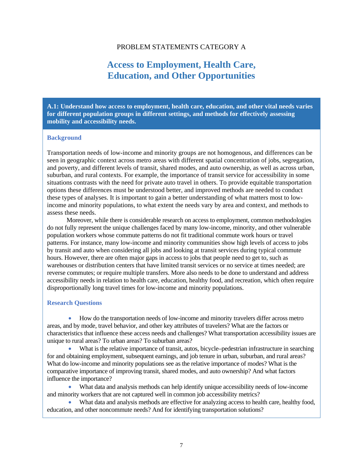#### PROBLEM STATEMENTS CATEGORY A

## **Access to Employment, Health Care, Education, and Other Opportunities**

<span id="page-11-0"></span>**A.1: Understand how access to employment, health care, education, and other vital needs varies for different population groups in different settings, and methods for effectively assessing mobility and accessibility needs.**

#### **Background**

Transportation needs of low-income and minority groups are not homogenous, and differences can be seen in geographic context across metro areas with different spatial concentration of jobs, segregation, and poverty, and different levels of transit, shared modes, and auto ownership, as well as across urban, suburban, and rural contexts. For example, the importance of transit service for accessibility in some situations contrasts with the need for private auto travel in others. To provide equitable transportation options these differences must be understood better, and improved methods are needed to conduct these types of analyses. It is important to gain a better understanding of what matters most to lowincome and minority populations, to what extent the needs vary by area and context, and methods to assess these needs.

Moreover, while there is considerable research on access to employment, common methodologies do not fully represent the unique challenges faced by many low-income, minority, and other vulnerable population workers whose commute patterns do not fit traditional commute work hours or travel patterns. For instance, many low-income and minority communities show high levels of access to jobs by transit and auto when considering all jobs and looking at transit services during typical commute hours. However, there are often major gaps in access to jobs that people need to get to, such as warehouses or distribution centers that have limited transit services or no service at times needed; are reverse commutes; or require multiple transfers. More also needs to be done to understand and address accessibility needs in relation to health care, education, healthy food, and recreation, which often require disproportionally long travel times for low-income and minority populations.

#### **Research Questions**

• How do the transportation needs of low-income and minority travelers differ across metro areas, and by mode, travel behavior, and other key attributes of travelers? What are the factors or characteristics that influence these access needs and challenges? What transportation accessibility issues are unique to rural areas? To urban areas? To suburban areas?

• What is the relative importance of transit, autos, bicycle–pedestrian infrastructure in searching for and obtaining employment, subsequent earnings, and job tenure in urban, suburban, and rural areas? What do low-income and minority populations see as the relative importance of modes? What is the comparative importance of improving transit, shared modes, and auto ownership? And what factors influence the importance?

• What data and analysis methods can help identify unique accessibility needs of low-income and minority workers that are not captured well in common job accessibility metrics?

• What data and analysis methods are effective for analyzing access to health care, healthy food, education, and other noncommute needs? And for identifying transportation solutions?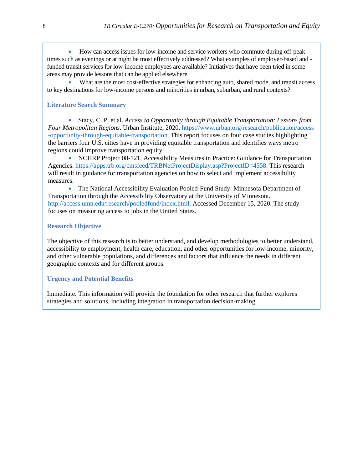• How can access issues for low-income and service workers who commute during off-peak times such as evenings or at night be most effectively addressed? What examples of employer-based and funded transit services for low-income employees are available? Initiatives that have been tried in some areas may provide lessons that can be applied elsewhere.

• What are the most cost-effective strategies for enhancing auto, shared mode, and transit access to key destinations for low-income persons and minorities in urban, suburban, and rural contexts?

#### **Literature Search Summary**

• Stacy, C. P. et al. *Access to Opportunity through Equitable Transportation: Lessons from Four Metropolitan Regions*. Urban Institute, 2020. https://www.urban.org/research/publication/access -opportunity-through-equitable-transportation. This report focuses on four case studies highlighting the barriers four U.S. cities have in providing equitable transportation and identifies ways metro regions could improve transportation equity.

• NCHRP Project 08-121, Accessibility Measures in Practice: Guidance for Transportation Agencies. https://apps.trb.org/cmsfeed/TRBNetProjectDisplay.asp?ProjectID=4558. This research will result in guidance for transportation agencies on how to select and implement accessibility measures.

• The National Accessibility Evaluation Pooled-Fund Study. Minnesota Department of Transportation through the Accessibility Observatory at the University of Minnesota. http://access.umn.edu/research/pooledfund/index.html. Accessed December 15, 2020. The study focuses on measuring access to jobs in the United States.

#### **Research Objective**

The objective of this research is to better understand, and develop methodologies to better understand, accessibility to employment, health care, education, and other opportunities for low-income, minority, and other vulnerable populations, and differences and factors that influence the needs in different geographic contexts and for different groups.

#### **Urgency and Potential Benefits**

Immediate. This information will provide the foundation for other research that further explores strategies and solutions, including integration in transportation decision-making.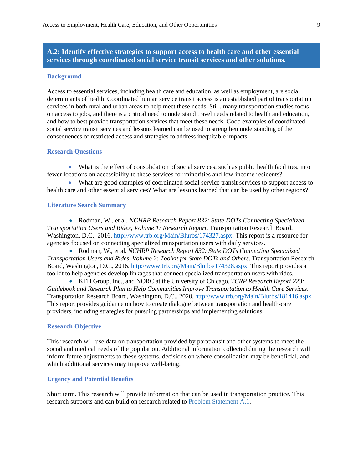#### **A.2: Identify effective strategies to support access to health care and other essential services through coordinated social service transit services and other solutions.**

#### **Background**

Access to essential services, including health care and education, as well as employment, are social determinants of health. Coordinated human service transit access is an established part of transportation services in both rural and urban areas to help meet these needs. Still, many transportation studies focus on access to jobs, and there is a critical need to understand travel needs related to health and education, and how to best provide transportation services that meet these needs. Good examples of coordinated social service transit services and lessons learned can be used to strengthen understanding of the consequences of restricted access and strategies to address inequitable impacts.

#### **Research Questions**

• What is the effect of consolidation of social services, such as public health facilities, into fewer locations on accessibility to these services for minorities and low-income residents?

• What are good examples of coordinated social service transit services to support access to health care and other essential services? What are lessons learned that can be used by other regions?

#### **Literature Search Summary**

• Rodman, W., et al. *NCHRP Research Report 832: State DOTs Connecting Specialized Transportation Users and Rides, Volume 1: Research Report*. Transportation Research Board, Washington, D.C., 2016. http://www.trb.org/Main/Blurbs/174327.aspx. This report is a resource for agencies focused on connecting specialized transportation users with daily services.

• Rodman, W., et al. *NCHRP Research Report 832: State DOTs Connecting Specialized Transportation Users and Rides, Volume 2: Toolkit for State DOTs and Others*. Transportation Research Board, Washington, D.C., 2016. http://www.trb.org/Main/Blurbs/174328.aspx. This report provides a toolkit to help agencies develop linkages that connect specialized transportation users with rides.

• KFH Group, Inc., and NORC at the University of Chicago. *TCRP Research Report 223: Guidebook and Research Plan to Help Communities Improve Transportation to Health Care Services*. Transportation Research Board, Washington, D.C., 2020. http://www.trb.org/Main/Blurbs/181416.aspx. This report provides guidance on how to create dialogue between transportation and health-care providers, including strategies for pursuing partnerships and implementing solutions.

#### **Research Objective**

This research will use data on transportation provided by paratransit and other systems to meet the social and medical needs of the population. Additional information collected during the research will inform future adjustments to these systems, decisions on where consolidation may be beneficial, and which additional services may improve well-being.

#### **Urgency and Potential Benefits**

Short term. This research will provide information that can be used in transportation practice. This research supports and can build on research related t[o Problem Statement A.1.](#page-11-0)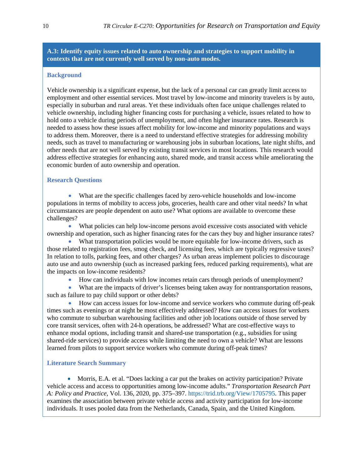#### **A.3: Identify equity issues related to auto ownership and strategies to support mobility in contexts that are not currently well served by non-auto modes.**

#### **Background**

Vehicle ownership is a significant expense, but the lack of a personal car can greatly limit access to employment and other essential services. Most travel by low-income and minority travelers is by auto, especially in suburban and rural areas. Yet these individuals often face unique challenges related to vehicle ownership, including higher financing costs for purchasing a vehicle, issues related to how to hold onto a vehicle during periods of unemployment, and often higher insurance rates. Research is needed to assess how these issues affect mobility for low-income and minority populations and ways to address them. Moreover, there is a need to understand effective strategies for addressing mobility needs, such as travel to manufacturing or warehousing jobs in suburban locations, late night shifts, and other needs that are not well served by existing transit services in most locations. This research would address effective strategies for enhancing auto, shared mode, and transit access while ameliorating the economic burden of auto ownership and operation.

#### **Research Questions**

• What are the specific challenges faced by zero-vehicle households and low-income populations in terms of mobility to access jobs, groceries, health care and other vital needs? In what circumstances are people dependent on auto use? What options are available to overcome these challenges?

• What policies can help low-income persons avoid excessive costs associated with vehicle ownership and operation, such as higher financing rates for the cars they buy and higher insurance rates?

What transportation policies would be more equitable for low-income drivers, such as those related to registration fees, smog check, and licensing fees, which are typically regressive taxes? In relation to tolls, parking fees, and other charges? As urban areas implement policies to discourage auto use and auto ownership (such as increased parking fees, reduced parking requirements), what are the impacts on low-income residents?

• How can individuals with low incomes retain cars through periods of unemployment?

• What are the impacts of driver's licenses being taken away for nontransportation reasons, such as failure to pay child support or other debts?

• How can access issues for low-income and service workers who commute during off-peak times such as evenings or at night be most effectively addressed? How can access issues for workers who commute to suburban warehousing facilities and other job locations outside of those served by core transit services, often with 24-h operations, be addressed? What are cost-effective ways to enhance modal options, including transit and shared-use transportation (e.g., subsidies for using shared-ride services) to provide access while limiting the need to own a vehicle? What are lessons learned from pilots to support service workers who commute during off-peak times?

#### **Literature Search Summary**

• Morris, E.A. et al. "Does lacking a car put the brakes on activity participation? Private vehicle access and access to opportunities among low-income adults." *Transportation Research Part A: Policy and Practice*, Vol. 136, 2020, pp. 375–397. https://trid.trb.org/View/1705795. This paper examines the association between private vehicle access and activity participation for low-income individuals. It uses pooled data from the Netherlands, Canada, Spain, and the United Kingdom.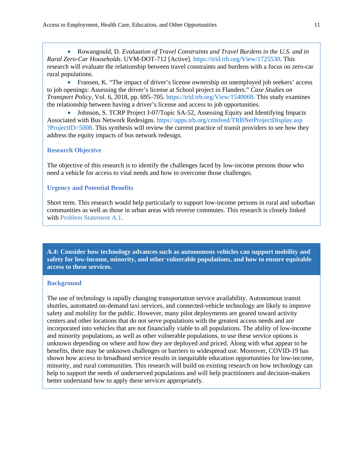• Rowangould, D. *Evaluation of Travel Constraints and Travel Burdens in the U.S. and in Rural Zero-Car Households*. UVM-DOT-712 [Active]. https://trid.trb.org/View/1725530. This research will evaluate the relationship between travel constraints and burdens with a focus on zero-car rural populations.

• Fransen, K. "The impact of driver's license ownership on unemployed job seekers' access to job openings: Assessing the driver's license at School project in Flanders." *Case Studies on Transport Policy*, Vol. 6, 2018, pp. 695–705. https://trid.trb.org/View/1540068. This study examines the relationship between having a driver's license and access to job opportunities.

• Johnson, S. TCRP Project J-07/Topic SA-52, Assessing Equity and Identifying Impacts Associated with Bus Network Redesigns. https://apps.trb.org/cmsfeed/TRBNetProjectDisplay.asp ?ProjectID=5008. This synthesis will review the current practice of transit providers to see how they address the equity impacts of bus network redesign.

#### **Research Objective**

The objective of this research is to identify the challenges faced by low-income persons those who need a vehicle for access to vital needs and how to overcome those challenges.

#### **Urgency and Potential Benefits**

Short term. This research would help particularly to support low-income persons in rural and suburban communities as well as those in urban areas with reverse commutes. This research is closely linked with [Problem Statement A.1.](#page-11-0) 

**A.4: Consider how technology advances such as autonomous vehicles can support mobility and safety for low-income, minority, and other vulnerable populations, and how to ensure equitable access to these services.**

#### **Background**

The use of technology is rapidly changing transportation service availability. Autonomous transit shuttles, automated on-demand taxi services, and connected-vehicle technology are likely to improve safety and mobility for the public. However, many pilot deployments are geared toward activity centers and other locations that do not serve populations with the greatest access needs and are incorporated into vehicles that are not financially viable to all populations. The ability of low-income and minority populations, as well as other vulnerable populations, to use these service options is unknown depending on where and how they are deployed and priced. Along with what appear to be benefits, there may be unknown challenges or barriers to widespread use. Moreover, COVID-19 has shown how access to broadband service results in inequitable education opportunities for low-income, minority, and rural communities. This research will build on existing research on how technology can help to support the needs of underserved populations and will help practitioners and decision-makers better understand how to apply these services appropriately.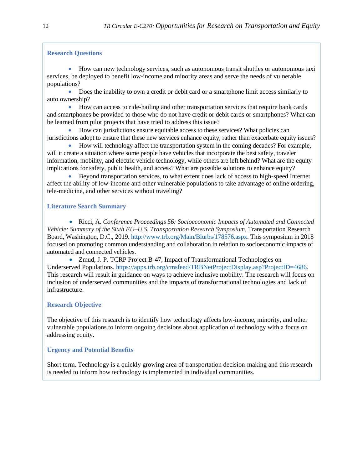#### **Research Questions**

• How can new technology services, such as autonomous transit shuttles or autonomous taxi services, be deployed to benefit low-income and minority areas and serve the needs of vulnerable populations?

• Does the inability to own a credit or debit card or a smartphone limit access similarly to auto ownership?

• How can access to ride-hailing and other transportation services that require bank cards and smartphones be provided to those who do not have credit or debit cards or smartphones? What can be learned from pilot projects that have tried to address this issue?

• How can jurisdictions ensure equitable access to these services? What policies can jurisdictions adopt to ensure that these new services enhance equity, rather than exacerbate equity issues?

• How will technology affect the transportation system in the coming decades? For example, will it create a situation where some people have vehicles that incorporate the best safety, traveler information, mobility, and electric vehicle technology, while others are left behind? What are the equity implications for safety, public health, and access? What are possible solutions to enhance equity?

• Beyond transportation services, to what extent does lack of access to high-speed Internet affect the ability of low-income and other vulnerable populations to take advantage of online ordering, tele-medicine, and other services without traveling?

#### **Literature Search Summary**

• Ricci, A. *Conference Proceedings 56: Socioeconomic Impacts of Automated and Connected Vehicle: Summary of the Sixth EU–U.S. Transportation Research Symposium*, Transportation Research Board, Washington, D.C., 2019. http://www.trb.org/Main/Blurbs/178576.aspx. This symposium in 2018 focused on promoting common understanding and collaboration in relation to socioeconomic impacts of automated and connected vehicles.

• Zmud, J. P. TCRP Project B-47, Impact of Transformational Technologies on Underserved Populations. https://apps.trb.org/cmsfeed/TRBNetProjectDisplay.asp?ProjectID=4686. This research will result in guidance on ways to achieve inclusive mobility. The research will focus on inclusion of underserved communities and the impacts of transformational technologies and lack of infrastructure.

#### **Research Objective**

The objective of this research is to identify how technology affects low-income, minority, and other vulnerable populations to inform ongoing decisions about application of technology with a focus on addressing equity.

#### **Urgency and Potential Benefits**

Short term. Technology is a quickly growing area of transportation decision-making and this research is needed to inform how technology is implemented in individual communities.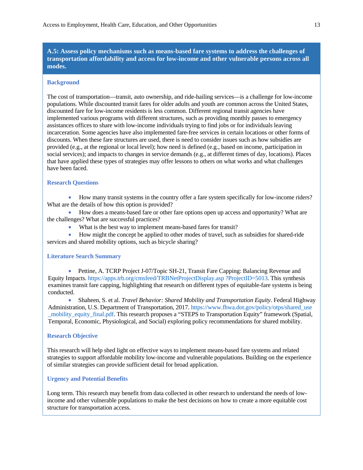**A.5: Assess policy mechanisms such as means-based fare systems to address the challenges of transportation affordability and access for low-income and other vulnerable persons across all modes.**

#### **Background**

The cost of transportation—transit, auto ownership, and ride-hailing services—is a challenge for low-income populations. While discounted transit fares for older adults and youth are common across the United States, discounted fare for low-income residents is less common. Different regional transit agencies have implemented various programs with different structures, such as providing monthly passes to emergency assistances offices to share with low-income individuals trying to find jobs or for individuals leaving incarceration. Some agencies have also implemented fare-free services in certain locations or other forms of discounts. When these fare structures are used, there is need to consider issues such as how subsidies are provided (e.g., at the regional or local level); how need is defined (e.g., based on income, participation in social services); and impacts to changes in service demands (e.g., at different times of day, locations). Places that have applied these types of strategies may offer lessons to others on what works and what challenges have been faced.

#### **Research Questions**

• How many transit systems in the country offer a fare system specifically for low-income riders? What are the details of how this option is provided?

• How does a means-based fare or other fare options open up access and opportunity? What are the challenges? What are successful practices?

• What is the best way to implement means-based fares for transit?

• How might the concept be applied to other modes of travel, such as subsidies for shared-ride services and shared mobility options, such as bicycle sharing?

#### **Literature Search Summary**

• Pettine, A. TCRP Project J-07/Topic SH-21, Transit Fare Capping: Balancing Revenue and Equity Impacts. https://apps.trb.org/cmsfeed/TRBNetProjectDisplay.asp ?ProjectID=5013. This synthesis examines transit fare capping, highlighting that research on different types of equitable-fare systems is being conducted.

• Shaheen, S. et al. *Travel Behavior: Shared Mobility and Transportation Equity*. Federal Highway Administration, U.S. Department of Transportation, 2017. https://www.fhwa.dot.gov/policy/otps/shared\_use \_mobility\_equity\_final.pdf. This research proposes a "STEPS to Transportation Equity" framework (Spatial, Temporal, Economic, Physiological, and Social) exploring policy recommendations for shared mobility.

#### **Research Objective**

This research will help shed light on effective ways to implement means-based fare systems and related strategies to support affordable mobility low-income and vulnerable populations. Building on the experience of similar strategies can provide sufficient detail for broad application.

#### **Urgency and Potential Benefits**

Long term. This research may benefit from data collected in other research to understand the needs of lowincome and other vulnerable populations to make the best decisions on how to create a more equitable cost structure for transportation access.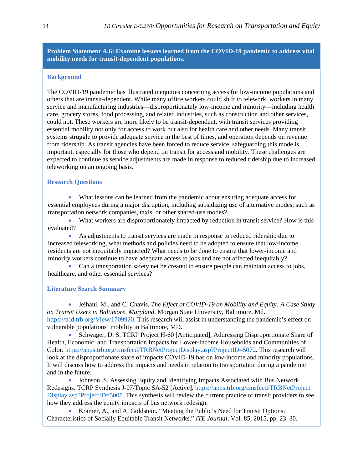**Problem Statement A.6: Examine lessons learned from the COVID-19 pandemic to address vital mobility needs for transit-dependent populations.** 

#### **Background**

The COVID-19 pandemic has illustrated inequities concerning access for low-income populations and others that are transit-dependent. While many office workers could shift to telework, workers in many service and manufacturing industries—disproportionately low-income and minority—including health care, grocery stores, food processing, and related industries, such as construction and other services, could not. These workers are more likely to be transit-dependent, with transit services providing essential mobility not only for access to work but also for health care and other needs. Many transit systems struggle to provide adequate service in the best of times, and operation depends on revenue from ridership. As transit agencies have been forced to reduce service, safeguarding this mode is important, especially for those who depend on transit for access and mobility. These challenges are expected to continue as service adjustments are made in response to reduced ridership due to increased teleworking on an ongoing basis.

#### **Research Questions**

• What lessons can be learned from the pandemic about ensuring adequate access for essential employees during a major disruption, including subsidizing use of alternative modes, such as transportation network companies, taxis, or other shared-use modes?

• What workers are disproportionately impacted by reduction in transit service? How is this evaluated?

• As adjustments to transit services are made in response to reduced ridership due to increased teleworking, what methods and policies need to be adopted to ensure that low-income residents are not inequitably impacted? What needs to be done to ensure that lower-income and minority workers continue to have adequate access to jobs and are not affected inequitably?

• Can a transportation safety net be created to ensure people can maintain access to jobs, healthcare, and other essential services?

#### **Literature Search Summary**

• Jeihani, M., and C. Chavis. *The Effect of COVID-19 on Mobility and Equity: A Case Study on Transit Users in Baltimore, Maryland*. Morgan State University, Baltimore, Md. https://trid.trb.org/View/1709920. This research will assist in understanding the pandemic's effect on vulnerable populations' mobility in Baltimore, MD.

• Schwager, D. S. TCRP Project H-60 [Anticipated], Addressing Disproportionate Share of Health, Economic, and Transportation Impacts for Lower-Income Households and Communities of Color. https://apps.trb.org/cmsfeed/TRBNetProjectDisplay.asp?ProjectID=5072. This research will look at the disproportionate share of impacts COVID-19 has on low-income and minority populations. It will discuss how to address the impacts and needs in relation to transportation during a pandemic and in the future.

• Johnson, S. Assessing Equity and Identifying Impacts Associated with Bus Network Redesigns. TCRP Synthesis J-07/Topic SA-52 [Active]. https://apps.trb.org/cmsfeed/TRBNetProject Display.asp?ProjectID=5008. This synthesis will review the current practice of transit providers to see how they address the equity impacts of bus network redesign.

• Kramer, A., and A. Goldstein. "Meeting the Public's Need for Transit Options: Characteristics of Socially Equitable Transit Networks." *ITE Journal,* Vol. 85, 2015, pp. 23–30.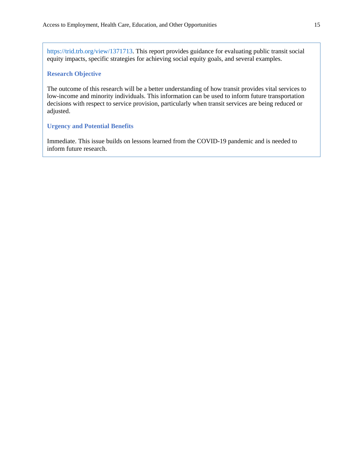https://trid.trb.org/view/1371713. This report provides guidance for evaluating public transit social equity impacts, specific strategies for achieving social equity goals, and several examples.

#### **Research Objective**

The outcome of this research will be a better understanding of how transit provides vital services to low-income and minority individuals. This information can be used to inform future transportation decisions with respect to service provision, particularly when transit services are being reduced or adjusted.

#### **Urgency and Potential Benefits**

Immediate. This issue builds on lessons learned from the COVID-19 pandemic and is needed to inform future research.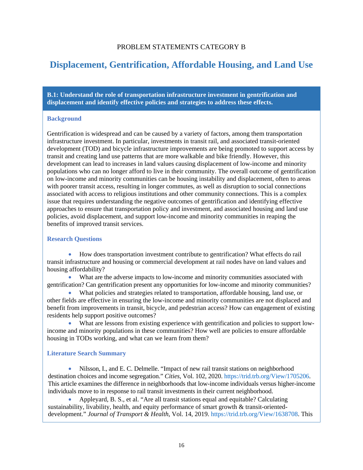#### PROBLEM STATEMENTS CATEGORY B

## <span id="page-20-0"></span>**Displacement, Gentrification, Affordable Housing, and Land Use**

**B.1: Understand the role of transportation infrastructure investment in gentrification and displacement and identify effective policies and strategies to address these effects.**

#### **Background**

Gentrification is widespread and can be caused by a variety of factors, among them transportation infrastructure investment. In particular, investments in transit rail, and associated transit-oriented development (TOD) and bicycle infrastructure improvements are being promoted to support access by transit and creating land use patterns that are more walkable and bike friendly. However, this development can lead to increases in land values causing displacement of low-income and minority populations who can no longer afford to live in their community. The overall outcome of gentrification on low-income and minority communities can be housing instability and displacement, often to areas with poorer transit access, resulting in longer commutes, as well as disruption to social connections associated with access to religious institutions and other community connections. This is a complex issue that requires understanding the negative outcomes of gentrification and identifying effective approaches to ensure that transportation policy and investment, and associated housing and land use policies, avoid displacement, and support low-income and minority communities in reaping the benefits of improved transit services.

#### **Research Questions**

• How does transportation investment contribute to gentrification? What effects do rail transit infrastructure and housing or commercial development at rail nodes have on land values and housing affordability?

• What are the adverse impacts to low-income and minority communities associated with gentrification? Can gentrification present any opportunities for low-income and minority communities?

• What policies and strategies related to transportation, affordable housing, land use, or other fields are effective in ensuring the low-income and minority communities are not displaced and benefit from improvements in transit, bicycle, and pedestrian access? How can engagement of existing residents help support positive outcomes?

• What are lessons from existing experience with gentrification and policies to support lowincome and minority populations in these communities? How well are policies to ensure affordable housing in TODs working, and what can we learn from them?

#### **Literature Search Summary**

• Nilsson, I., and E. C. Delmelle. "Impact of new rail transit stations on neighborhood destination choices and income segregation." *Cities*, Vol. 102, 2020. https://trid.trb.org/View/1705206. This article examines the difference in neighborhoods that low-income individuals versus higher-income individuals move to in response to rail transit investments in their current neighborhood.

• Appleyard, B. S., et al. "Are all transit stations equal and equitable? Calculating sustainability, livability, health, and equity performance of smart growth & transit-orienteddevelopment." *Journal of Transport & Health*, Vol. 14, 2019. https://trid.trb.org/View/1638708. This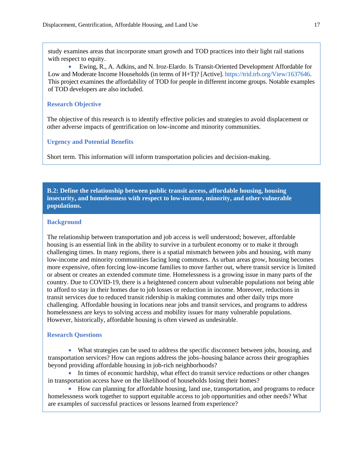study examines areas that incorporate smart growth and TOD practices into their light rail stations with respect to equity.

• Ewing, R., A. Adkins, and N. Iroz-Elardo. Is Transit-Oriented Development Affordable for Low and Moderate Income Households (in terms of H+T)? [Active]. https://trid.trb.org/View/1637646. This project examines the affordability of TOD for people in different income groups. Notable examples of TOD developers are also included.

#### **Research Objective**

The objective of this research is to identify effective policies and strategies to avoid displacement or other adverse impacts of gentrification on low-income and minority communities.

#### **Urgency and Potential Benefits**

Short term. This information will inform transportation policies and decision-making.

**B.2: Define the relationship between public transit access, affordable housing, housing insecurity, and homelessness with respect to low-income, minority, and other vulnerable populations.**

#### **Background**

The relationship between transportation and job access is well understood; however, affordable housing is an essential link in the ability to survive in a turbulent economy or to make it through challenging times. In many regions, there is a spatial mismatch between jobs and housing, with many low-income and minority communities facing long commutes. As urban areas grow, housing becomes more expensive, often forcing low-income families to move farther out, where transit service is limited or absent or creates an extended commute time. Homelessness is a growing issue in many parts of the country. Due to COVID-19, there is a heightened concern about vulnerable populations not being able to afford to stay in their homes due to job losses or reduction in income. Moreover, reductions in transit services due to reduced transit ridership is making commutes and other daily trips more challenging. Affordable housing in locations near jobs and transit services, and programs to address homelessness are keys to solving access and mobility issues for many vulnerable populations. However, historically, affordable housing is often viewed as undesirable.

#### **Research Questions**

• What strategies can be used to address the specific disconnect between jobs, housing, and transportation services? How can regions address the jobs–housing balance across their geographies beyond providing affordable housing in job-rich neighborhoods?

• In times of economic hardship, what effect do transit service reductions or other changes in transportation access have on the likelihood of households losing their homes?

• How can planning for affordable housing, land use, transportation, and programs to reduce homelessness work together to support equitable access to job opportunities and other needs? What are examples of successful practices or lessons learned from experience?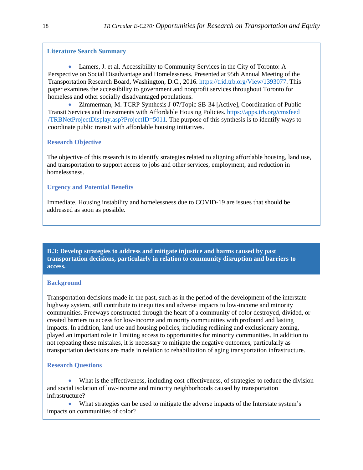#### <span id="page-22-0"></span>**Literature Search Summary**

• Lamers, J. et al. Accessibility to Community Services in the City of Toronto: A Perspective on Social Disadvantage and Homelessness. Presented at 95th Annual Meeting of the Transportation Research Board, Washington, D.C., 2016. https://trid.trb.org/View/1393077. This paper examines the accessibility to government and nonprofit services throughout Toronto for homeless and other socially disadvantaged populations.

• Zimmerman, M. TCRP Synthesis J-07/Topic SB-34 [Active], Coordination of Public Transit Services and Investments with Affordable Housing Policies. https://apps.trb.org/cmsfeed /TRBNetProjectDisplay.asp?ProjectID=5011. The purpose of this synthesis is to identify ways to coordinate public transit with affordable housing initiatives.

#### **Research Objective**

The objective of this research is to identify strategies related to aligning affordable housing, land use, and transportation to support access to jobs and other services, employment, and reduction in homelessness.

#### **Urgency and Potential Benefits**

Immediate. Housing instability and homelessness due to COVID-19 are issues that should be addressed as soon as possible.

**B.3: Develop strategies to address and mitigate injustice and harms caused by past transportation decisions, particularly in relation to community disruption and barriers to access.**

#### **Background**

Transportation decisions made in the past, such as in the period of the development of the interstate highway system, still contribute to inequities and adverse impacts to low-income and minority communities. Freeways constructed through the heart of a community of color destroyed, divided, or created barriers to access for low-income and minority communities with profound and lasting impacts. In addition, land use and housing policies, including redlining and exclusionary zoning, played an important role in limiting access to opportunities for minority communities. In addition to not repeating these mistakes, it is necessary to mitigate the negative outcomes, particularly as transportation decisions are made in relation to rehabilitation of aging transportation infrastructure.

#### **Research Questions**

• What is the effectiveness, including cost-effectiveness, of strategies to reduce the division and social isolation of low-income and minority neighborhoods caused by transportation infrastructure?

• What strategies can be used to mitigate the adverse impacts of the Interstate system's impacts on communities of color?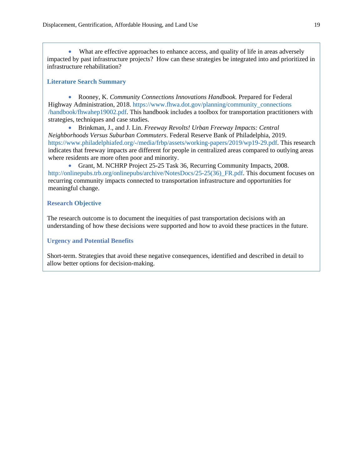What are effective approaches to enhance access, and quality of life in areas adversely impacted by past infrastructure projects? How can these strategies be integrated into and prioritized in infrastructure rehabilitation?

#### **Literature Search Summary**

• Rooney, K. *Community Connections Innovations Handbook.* Prepared for Federal Highway Administration, 2018. https://www.fhwa.dot.gov/planning/community\_connections /handbook/fhwahep19002.pdf. This handbook includes a toolbox for transportation practitioners with strategies, techniques and case studies.

• Brinkman, J., and J. Lin. *Freeway Revolts! Urban Freeway Impacts: Central Neighborhoods Versus Suburban Commuters*. Federal Reserve Bank of Philadelphia, 2019. https://www.philadelphiafed.org/-/media/frbp/assets/working-papers/2019/wp19-29.pdf. This research indicates that freeway impacts are different for people in centralized areas compared to outlying areas where residents are more often poor and minority.

• Grant, M. NCHRP Project 25-25 Task 36, Recurring Community Impacts, 2008. http://onlinepubs.trb.org/onlinepubs/archive/NotesDocs/25-25(36)\_FR.pdf. This document focuses on recurring community impacts connected to transportation infrastructure and opportunities for meaningful change.

#### **Research Objective**

The research outcome is to document the inequities of past transportation decisions with an understanding of how these decisions were supported and how to avoid these practices in the future.

#### **Urgency and Potential Benefits**

Short-term. Strategies that avoid these negative consequences, identified and described in detail to allow better options for decision-making.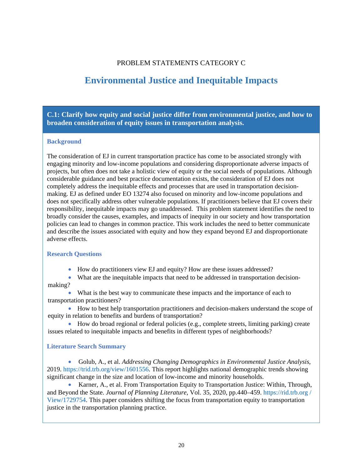#### PROBLEM STATEMENTS CATEGORY C

### <span id="page-24-0"></span>**Environmental Justice and Inequitable Impacts**

**C.1: Clarify how equity and social justice differ from environmental justice, and how to broaden consideration of equity issues in transportation analysis.**

#### **Background**

The consideration of EJ in current transportation practice has come to be associated strongly with engaging minority and low-income populations and considering disproportionate adverse impacts of projects, but often does not take a holistic view of equity or the social needs of populations. Although considerable guidance and best practice documentation exists, the consideration of EJ does not completely address the inequitable effects and processes that are used in transportation decisionmaking. EJ as defined under EO 13274 also focused on minority and low-income populations and does not specifically address other vulnerable populations. If practitioners believe that EJ covers their responsibility, inequitable impacts may go unaddressed. This problem statement identifies the need to broadly consider the causes, examples, and impacts of inequity in our society and how transportation policies can lead to changes in common practice. This work includes the need to better communicate and describe the issues associated with equity and how they expand beyond EJ and disproportionate adverse effects.

#### **Research Questions**

• How do practitioners view EJ and equity? How are these issues addressed?

• What are the inequitable impacts that need to be addressed in transportation decisionmaking?

• What is the best way to communicate these impacts and the importance of each to transportation practitioners?

• How to best help transportation practitioners and decision-makers understand the scope of equity in relation to benefits and burdens of transportation?

• How do broad regional or federal policies (e.g., complete streets, limiting parking) create issues related to inequitable impacts and benefits in different types of neighborhoods?

#### **Literature Search Summary**

• Golub, A., et al. *Addressing Changing Demographics in Environmental Justice Analysis*, 2019. https://trid.trb.org/view/1601556. This report highlights national demographic trends showing significant change in the size and location of low-income and minority households.

• Karner, A., et al. From Transportation Equity to Transportation Justice: Within, Through, and Beyond the State. *Journal of Planning Literature*, Vol. 35, 2020, pp.440–459. https://rid.trb.org / View/1729754. This paper considers shifting the focus from transportation equity to transportation justice in the transportation planning practice.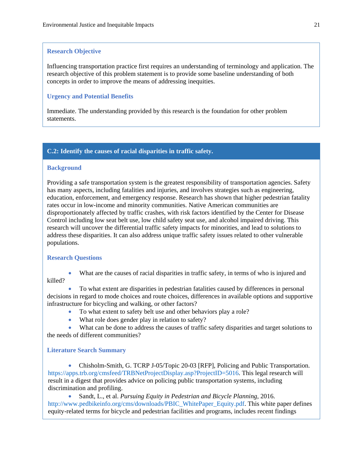#### <span id="page-25-0"></span>**Research Objective**

Influencing transportation practice first requires an understanding of terminology and application. The research objective of this problem statement is to provide some baseline understanding of both concepts in order to improve the means of addressing inequities.

#### **Urgency and Potential Benefits**

Immediate. The understanding provided by this research is the foundation for other problem statements.

#### **C.2: Identify the causes of racial disparities in traffic safety.**

#### **Background**

Providing a safe transportation system is the greatest responsibility of transportation agencies. Safety has many aspects, including fatalities and injuries, and involves strategies such as engineering, education, enforcement, and emergency response. Research has shown that higher pedestrian fatality rates occur in low-income and minority communities. Native American communities are disproportionately affected by traffic crashes, with risk factors identified by the Center for Disease Control including low seat belt use, low child safety seat use, and alcohol impaired driving. This research will uncover the differential traffic safety impacts for minorities, and lead to solutions to address these disparities. It can also address unique traffic safety issues related to other vulnerable populations.

#### **Research Questions**

What are the causes of racial disparities in traffic safety, in terms of who is injured and killed?

• To what extent are disparities in pedestrian fatalities caused by differences in personal decisions in regard to mode choices and route choices, differences in available options and supportive infrastructure for bicycling and walking, or other factors?

- To what extent to safety belt use and other behaviors play a role?
- What role does gender play in relation to safety?

• What can be done to address the causes of traffic safety disparities and target solutions to the needs of different communities?

#### **Literature Search Summary**

• Chisholm-Smith, G. TCRP J-05/Topic 20-03 [RFP], Policing and Public Transportation. https://apps.trb.org/cmsfeed/TRBNetProjectDisplay.asp?ProjectID=5016. This legal research will result in a digest that provides advice on policing public transportation systems, including discrimination and profiling.

• Sandt, L., et al. *Pursuing Equity in Pedestrian and Bicycle Planning*, 2016. http://www.pedbikeinfo.org/cms/downloads/PBIC\_WhitePaper\_Equity.pdf. This white paper defines equity-related terms for bicycle and pedestrian facilities and programs, includes recent findings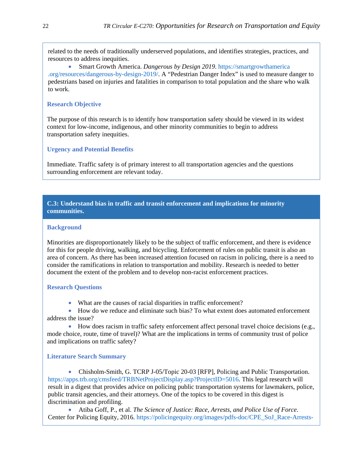related to the needs of traditionally underserved populations, and identifies strategies, practices, and resources to address inequities.

• Smart Growth America. *Dangerous by Design 2019*. https://smartgrowthamerica .org/resources/dangerous-by-design-2019/. A "Pedestrian Danger Index" is used to measure danger to pedestrians based on injuries and fatalities in comparison to total population and the share who walk to work.

#### **Research Objective**

The purpose of this research is to identify how transportation safety should be viewed in its widest context for low-income, indigenous, and other minority communities to begin to address transportation safety inequities.

#### **Urgency and Potential Benefits**

Immediate. Traffic safety is of primary interest to all transportation agencies and the questions surrounding enforcement are relevant today.

#### **C.3: Understand bias in traffic and transit enforcement and implications for minority communities.**

#### **Background**

Minorities are disproportionately likely to be the subject of traffic enforcement, and there is evidence for this for people driving, walking, and bicycling. Enforcement of rules on public transit is also an area of concern. As there has been increased attention focused on racism in policing, there is a need to consider the ramifications in relation to transportation and mobility. Research is needed to better document the extent of the problem and to develop non-racist enforcement practices.

#### **Research Questions**

• What are the causes of racial disparities in traffic enforcement?

• How do we reduce and eliminate such bias? To what extent does automated enforcement address the issue?

• How does racism in traffic safety enforcement affect personal travel choice decisions (e.g., mode choice, route, time of travel)? What are the implications in terms of community trust of police and implications on traffic safety?

#### **Literature Search Summary**

• Chisholm-Smith, G. TCRP J-05/Topic 20-03 [RFP], Policing and Public Transportation. https://apps.trb.org/cmsfeed/TRBNetProjectDisplay.asp?ProjectID=5016. This legal research will result in a digest that provides advice on policing public transportation systems for lawmakers, police, public transit agencies, and their attorneys. One of the topics to be covered in this digest is discrimination and profiling.

• Atiba Goff, P., et al. *The Science of Justice: Race, Arrests, and Police Use of Force*. Center for Policing Equity, 2016. https://policingequity.org/images/pdfs-doc/CPE\_SoJ\_Race-Arrests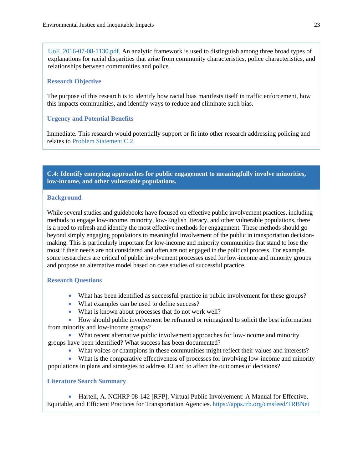UoF 2016-07-08-1130.pdf. An analytic framework is used to distinguish among three broad types of explanations for racial disparities that arise from community characteristics, police characteristics, and relationships between communities and police.

#### **Research Objective**

The purpose of this research is to identify how racial bias manifests itself in traffic enforcement, how this impacts communities, and identify ways to reduce and eliminate such bias.

#### **Urgency and Potential Benefits**

Immediate. This research would potentially support or fit into other research addressing policing and relates to [Problem Statement C.2.](#page-25-0) 

**C.4: Identify emerging approaches for public engagement to meaningfully involve minorities, low-income, and other vulnerable populations.**

#### **Background**

While several studies and guidebooks have focused on effective public involvement practices, including methods to engage low-income, minority, low-English literacy, and other vulnerable populations, there is a need to refresh and identify the most effective methods for engagement. These methods should go beyond simply engaging populations to meaningful involvement of the public in transportation decisionmaking. This is particularly important for low-income and minority communities that stand to lose the most if their needs are not considered and often are not engaged in the political process. For example, some researchers are critical of public involvement processes used for low-income and minority groups and propose an alternative model based on case studies of successful practice.

#### **Research Questions**

- What has been identified as successful practice in public involvement for these groups?
- What examples can be used to define success?
- What is known about processes that do not work well?

• How should public involvement be reframed or reimagined to solicit the best information from minority and low-income groups?

• What recent alternative public involvement approaches for low-income and minority groups have been identified? What success has been documented?

- What voices or champions in these communities might reflect their values and interests?
- What is the comparative effectiveness of processes for involving low-income and minority populations in plans and strategies to address EJ and to affect the outcomes of decisions?

#### **Literature Search Summary**

• Hartell, A. NCHRP 08-142 [RFP], Virtual Public Involvement: A Manual for Effective, Equitable, and Efficient Practices for Transportation Agencies. https://apps.trb.org/cmsfeed/TRBNet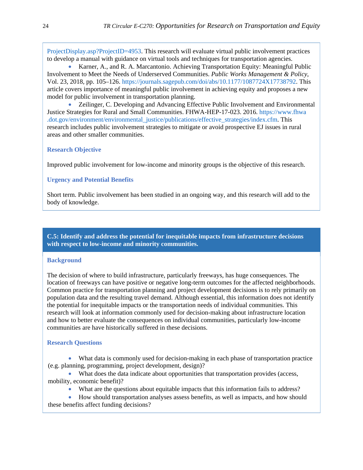ProjectDisplay.asp?ProjectID=4953. This research will evaluate virtual public involvement practices to develop a manual with guidance on virtual tools and techniques for transportation agencies.

• Karner, A., and R. A. Marcantonio. Achieving Transportation Equity: Meaningful Public Involvement to Meet the Needs of Underserved Communities. *Public Works Management & Policy*, Vol. 23, 2018, pp. 105–126. https://journals.sagepub.com/doi/abs/10.1177/1087724X17738792. This article covers importance of meaningful public involvement in achieving equity and proposes a new model for public involvement in transportation planning.

• Zeilinger, C. Developing and Advancing Effective Public Involvement and Environmental Justice Strategies for Rural and Small Communities. FHWA-HEP-17-023. 2016. https://www.fhwa .dot.gov/environment/environmental\_justice/publications/effective\_strategies/index.cfm. This research includes public involvement strategies to mitigate or avoid prospective EJ issues in rural areas and other smaller communities.

#### **Research Objective**

Improved public involvement for low-income and minority groups is the objective of this research.

#### **Urgency and Potential Benefits**

Short term. Public involvement has been studied in an ongoing way, and this research will add to the body of knowledge.

#### **C.5: Identify and address the potential for inequitable impacts from infrastructure decisions with respect to low-income and minority communities.**

#### **Background**

The decision of where to build infrastructure, particularly freeways, has huge consequences. The location of freeways can have positive or negative long-term outcomes for the affected neighborhoods. Common practice for transportation planning and project development decisions is to rely primarily on population data and the resulting travel demand. Although essential, this information does not identify the potential for inequitable impacts or the transportation needs of individual communities. This research will look at information commonly used for decision-making about infrastructure location and how to better evaluate the consequences on individual communities, particularly low-income communities are have historically suffered in these decisions.

#### **Research Questions**

- What data is commonly used for decision-making in each phase of transportation practice (e.g. planning, programming, project development, design)?
- What does the data indicate about opportunities that transportation provides (access, mobility, economic benefit)?
	- What are the questions about equitable impacts that this information fails to address?

• How should transportation analyses assess benefits, as well as impacts, and how should these benefits affect funding decisions?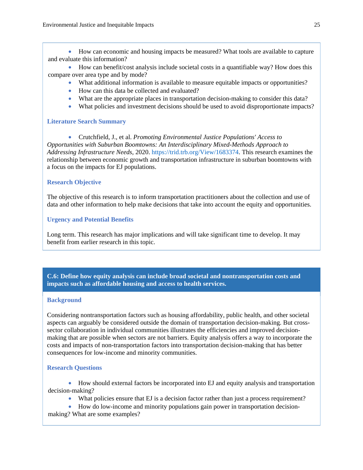• How can economic and housing impacts be measured? What tools are available to capture and evaluate this information?

• How can benefit/cost analysis include societal costs in a quantifiable way? How does this compare over area type and by mode?

- What additional information is available to measure equitable impacts or opportunities?
- How can this data be collected and evaluated?
- What are the appropriate places in transportation decision-making to consider this data?
- What policies and investment decisions should be used to avoid disproportionate impacts?

#### **Literature Search Summary**

• Crutchfield, J., et al. *Promoting Environmental Justice Populations' Access to Opportunities with Suburban Boomtowns: An Interdisciplinary Mixed-Methods Approach to Addressing Infrastructure Needs*, 2020. https://trid.trb.org/View/1683374. This research examines the relationship between economic growth and transportation infrastructure in suburban boomtowns with a focus on the impacts for EJ populations.

#### **Research Objective**

The objective of this research is to inform transportation practitioners about the collection and use of data and other information to help make decisions that take into account the equity and opportunities.

#### **Urgency and Potential Benefits**

Long term. This research has major implications and will take significant time to develop. It may benefit from earlier research in this topic.

**C.6: Define how equity analysis can include broad societal and nontransportation costs and impacts such as affordable housing and access to health services.**

#### **Background**

Considering nontransportation factors such as housing affordability, public health, and other societal aspects can arguably be considered outside the domain of transportation decision-making. But crosssector collaboration in individual communities illustrates the efficiencies and improved decisionmaking that are possible when sectors are not barriers. Equity analysis offers a way to incorporate the costs and impacts of non-transportation factors into transportation decision-making that has better consequences for low-income and minority communities.

#### **Research Questions**

• How should external factors be incorporated into EJ and equity analysis and transportation decision-making?

- What policies ensure that EJ is a decision factor rather than just a process requirement?
- How do low-income and minority populations gain power in transportation decision-

making? What are some examples?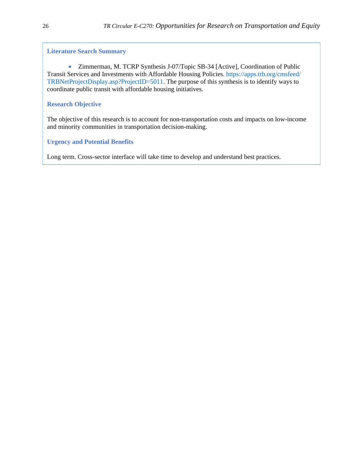#### **Literature Search Summary**

• Zimmerman, M. TCRP Synthesis J-07/Topic SB-34 [Active], Coordination of Public Transit Services and Investments with Affordable Housing Policies. https://apps.trb.org/cmsfeed/ TRBNetProjectDisplay.asp?ProjectID=5011. The purpose of this synthesis is to identify ways to coordinate public transit with affordable housing initiatives.

#### **Research Objective**

The objective of this research is to account for non-transportation costs and impacts on low-income and minority communities in transportation decision-making.

#### **Urgency and Potential Benefits**

Long term. Cross-sector interface will take time to develop and understand best practices.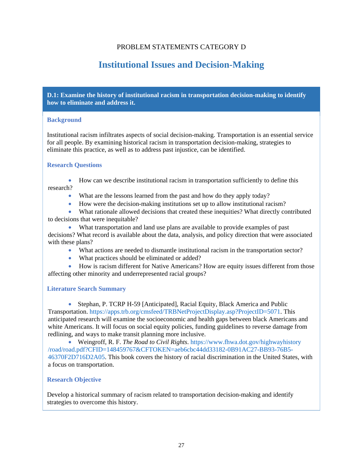#### PROBLEM STATEMENTS CATEGORY D

## **Institutional Issues and Decision-Making**

<span id="page-31-0"></span>**D.1: Examine the history of institutional racism in transportation decision-making to identify how to eliminate and address it.**

#### **Background**

Institutional racism infiltrates aspects of social decision-making. Transportation is an essential service for all people. By examining historical racism in transportation decision-making, strategies to eliminate this practice, as well as to address past injustice, can be identified.

#### **Research Questions**

• How can we describe institutional racism in transportation sufficiently to define this research?

- What are the lessons learned from the past and how do they apply today?
- How were the decision-making institutions set up to allow institutional racism?

• What rationale allowed decisions that created these inequities? What directly contributed to decisions that were inequitable?

• What transportation and land use plans are available to provide examples of past decisions? What record is available about the data, analysis, and policy direction that were associated with these plans?

- What actions are needed to dismantle institutional racism in the transportation sector?
- What practices should be eliminated or added?

• How is racism different for Native Americans? How are equity issues different from those affecting other minority and underrepresented racial groups?

#### **Literature Search Summary**

• Stephan, P. TCRP H-59 [Anticipated], Racial Equity, Black America and Public Transportation. https://apps.trb.org/cmsfeed/TRBNetProjectDisplay.asp?ProjectID=5071. This anticipated research will examine the socioeconomic and health gaps between black Americans and white Americans. It will focus on social equity policies, funding guidelines to reverse damage from redlining, and ways to make transit planning more inclusive.

• Weingroff, R. F. *The Road to Civil Rights*. https://www.fhwa.dot.gov/highwayhistory /road/road.pdf?CFID=148459767&CFTOKEN=aeb6cbc44dd33182-0B91AC27-BB93-76B5- 46370F2D716D2A05. This book covers the history of racial discrimination in the United States, with a focus on transportation.

#### **Research Objective**

Develop a historical summary of racism related to transportation decision-making and identify strategies to overcome this history.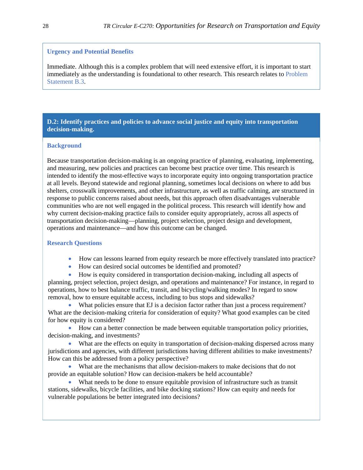#### **Urgency and Potential Benefits**

Immediate. Although this is a complex problem that will need extensive effort, it is important to start immediately as the understanding is foundational to other research. This research relates to [Problem](#page-22-0)  [Statement B.3.](#page-22-0)

#### **D.2: Identify practices and policies to advance social justice and equity into transportation decision-making.**

#### **Background**

Because transportation decision-making is an ongoing practice of planning, evaluating, implementing, and measuring, new policies and practices can become best practice over time. This research is intended to identify the most-effective ways to incorporate equity into ongoing transportation practice at all levels. Beyond statewide and regional planning, sometimes local decisions on where to add bus shelters, crosswalk improvements, and other infrastructure, as well as traffic calming, are structured in response to public concerns raised about needs, but this approach often disadvantages vulnerable communities who are not well engaged in the political process. This research will identify how and why current decision-making practice fails to consider equity appropriately, across all aspects of transportation decision-making—planning, project selection, project design and development, operations and maintenance—and how this outcome can be changed.

#### **Research Questions**

- How can lessons learned from equity research be more effectively translated into practice?
- How can desired social outcomes be identified and promoted?

• How is equity considered in transportation decision-making, including all aspects of planning, project selection, project design, and operations and maintenance? For instance, in regard to operations, how to best balance traffic, transit, and bicycling/walking modes? In regard to snow removal, how to ensure equitable access, including to bus stops and sidewalks?

• What policies ensure that EJ is a decision factor rather than just a process requirement? What are the decision-making criteria for consideration of equity? What good examples can be cited for how equity is considered?

• How can a better connection be made between equitable transportation policy priorities, decision-making, and investments?

• What are the effects on equity in transportation of decision-making dispersed across many jurisdictions and agencies, with different jurisdictions having different abilities to make investments? How can this be addressed from a policy perspective?

• What are the mechanisms that allow decision-makers to make decisions that do not provide an equitable solution? How can decision-makers be held accountable?

• What needs to be done to ensure equitable provision of infrastructure such as transit stations, sidewalks, bicycle facilities, and bike docking stations? How can equity and needs for vulnerable populations be better integrated into decisions?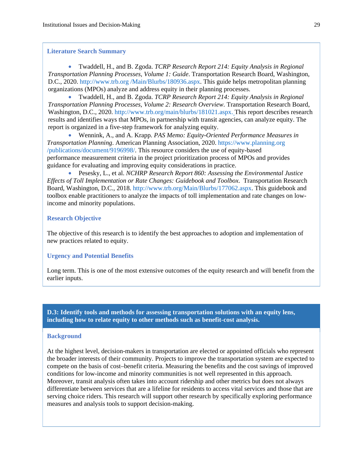#### **Literature Search Summary**

• Twaddell, H., and B. Zgoda. *TCRP Research Report 214: Equity Analysis in Regional Transportation Planning Processes, Volume 1: Guide*. Transportation Research Board, Washington, D.C., 2020. http://www.trb.org /Main/Blurbs/180936.aspx. This guide helps metropolitan planning organizations (MPOs) analyze and address equity in their planning processes.

• Twaddell, H., and B. Zgoda. *TCRP Research Report 214: Equity Analysis in Regional Transportation Planning Processes, Volume 2: Research Overview*. Transportation Research Board, Washington, D.C., 2020. http://www.trb.org/main/blurbs/181021.aspx. This report describes research results and identifies ways that MPOs, in partnership with transit agencies, can analyze equity. The report is organized in a five-step framework for analyzing equity.

• Wennink, A., and A. Krapp. *PAS Memo: Equity-Oriented Performance Measures in Transportation Planning*. American Planning Association, 2020. https://www.planning.org /publications/document/9196998/. This resource considers the use of equity-based performance measurement criteria in the project prioritization process of MPOs and provides guidance for evaluating and improving equity considerations in practice.

• Pesesky, L., et al. *NCHRP Research Report 860: Assessing the Environmental Justice Effects of Toll Implementation or Rate Changes: Guidebook and Toolbox*. Transportation Research Board, Washington, D.C., 2018. http://www.trb.org/Main/Blurbs/177062.aspx. This guidebook and toolbox enable practitioners to analyze the impacts of toll implementation and rate changes on lowincome and minority populations.

#### **Research Objective**

The objective of this research is to identify the best approaches to adoption and implementation of new practices related to equity.

#### **Urgency and Potential Benefits**

Long term. This is one of the most extensive outcomes of the equity research and will benefit from the earlier inputs.

**D.3: Identify tools and methods for assessing transportation solutions with an equity lens, including how to relate equity to other methods such as benefit-cost analysis.**

#### **Background**

At the highest level, decision-makers in transportation are elected or appointed officials who represent the broader interests of their community. Projects to improve the transportation system are expected to compete on the basis of cost–benefit criteria. Measuring the benefits and the cost savings of improved conditions for low-income and minority communities is not well represented in this approach. Moreover, transit analysis often takes into account ridership and other metrics but does not always differentiate between services that are a lifeline for residents to access vital services and those that are serving choice riders. This research will support other research by specifically exploring performance measures and analysis tools to support decision-making.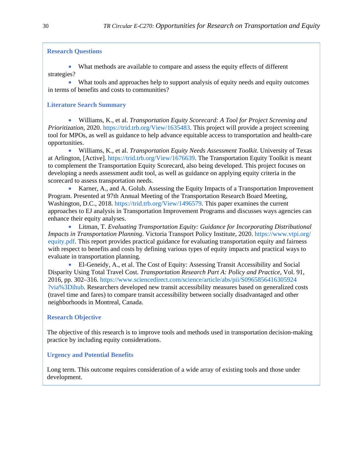#### **Research Questions**

• What methods are available to compare and assess the equity effects of different strategies?

• What tools and approaches help to support analysis of equity needs and equity outcomes in terms of benefits and costs to communities?

#### **Literature Search Summary**

• Williams, K., et al. *Transportation Equity Scorecard: A Tool for Project Screening and Prioritization*, 2020. https://trid.trb.org/View/1635483. This project will provide a project screening tool for MPOs, as well as guidance to help advance equitable access to transportation and health-care opportunities.

• Williams, K., et al. *Transportation Equity Needs Assessment Toolkit*. University of Texas at Arlington, [Active]. https://trid.trb.org/View/1676639. The Transportation Equity Toolkit is meant to complement the Transportation Equity Scorecard, also being developed. This project focuses on developing a needs assessment audit tool, as well as guidance on applying equity criteria in the scorecard to assess transportation needs.

• Karner, A., and A. Golub. Assessing the Equity Impacts of a Transportation Improvement Program. Presented at 97th Annual Meeting of the Transportation Research Board Meeting, Washington, D.C., 2018. https://trid.trb.org/View/1496579. This paper examines the current approaches to EJ analysis in Transportation Improvement Programs and discusses ways agencies can enhance their equity analyses.

• Litman, T*. Evaluating Transportation Equity: Guidance for Incorporating Distributional Impacts in Transportation Planning*. Victoria Transport Policy Institute, 2020. https://www.vtpi.org/ equity.pdf. This report provides practical guidance for evaluating transportation equity and fairness with respect to benefits and costs by defining various types of equity impacts and practical ways to evaluate in transportation planning.

• El-Geneidy, A., et al. The Cost of Equity: Assessing Transit Accessibility and Social Disparity Using Total Travel Cost. *Transportation Research Part A: Policy and Practice*, Vol. 91, 2016, pp. 302–316. https://www.sciencedirect.com/science/article/abs/pii/S0965856416305924 ?via%3Dihub. Researchers developed new transit accessibility measures based on generalized costs (travel time and fares) to compare transit accessibility between socially disadvantaged and other neighborhoods in Montreal, Canada.

#### **Research Objective**

The objective of this research is to improve tools and methods used in transportation decision-making practice by including equity considerations.

#### **Urgency and Potential Benefits**

Long term. This outcome requires consideration of a wide array of existing tools and those under development.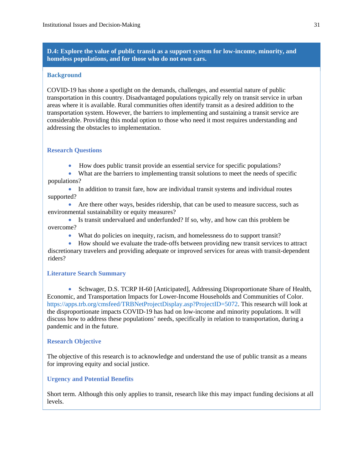**D.4: Explore the value of public transit as a support system for low-income, minority, and homeless populations, and for those who do not own cars.**

#### **Background**

COVID-19 has shone a spotlight on the demands, challenges, and essential nature of public transportation in this country. Disadvantaged populations typically rely on transit service in urban areas where it is available. Rural communities often identify transit as a desired addition to the transportation system. However, the barriers to implementing and sustaining a transit service are considerable. Providing this modal option to those who need it most requires understanding and addressing the obstacles to implementation.

#### **Research Questions**

- How does public transit provide an essential service for specific populations?
- What are the barriers to implementing transit solutions to meet the needs of specific populations?
- In addition to transit fare, how are individual transit systems and individual routes supported?
- Are there other ways, besides ridership, that can be used to measure success, such as environmental sustainability or equity measures?
- Is transit undervalued and underfunded? If so, why, and how can this problem be overcome?
	- What do policies on inequity, racism, and homelessness do to support transit?
- How should we evaluate the trade-offs between providing new transit services to attract discretionary travelers and providing adequate or improved services for areas with transit-dependent riders?

#### **Literature Search Summary**

• Schwager, D.S. TCRP H-60 [Anticipated], Addressing Disproportionate Share of Health, Economic, and Transportation Impacts for Lower-Income Households and Communities of Color. https://apps.trb.org/cmsfeed/TRBNetProjectDisplay.asp?ProjectID=5072. This research will look at the disproportionate impacts COVID-19 has had on low-income and minority populations. It will discuss how to address these populations' needs, specifically in relation to transportation, during a pandemic and in the future.

#### **Research Objective**

The objective of this research is to acknowledge and understand the use of public transit as a means for improving equity and social justice.

#### **Urgency and Potential Benefits**

Short term. Although this only applies to transit, research like this may impact funding decisions at all levels.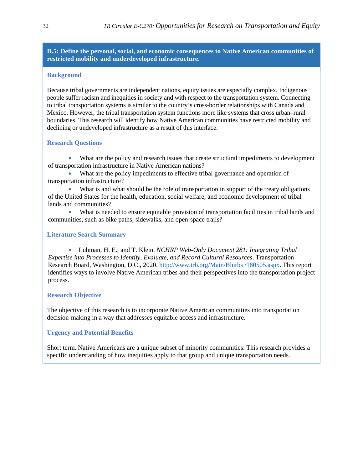#### **D.5: Define the personal, social, and economic consequences to Native American communities of restricted mobility and underdeveloped infrastructure.**

#### **Background**

Because tribal governments are independent nations, equity issues are especially complex. Indigenous people suffer racism and inequities in society and with respect to the transportation system. Connecting to tribal transportation systems is similar to the country's cross-border relationships with Canada and Mexico. However, the tribal transportation system functions more like systems that cross urban–rural boundaries. This research will identify how Native American communities have restricted mobility and declining or undeveloped infrastructure as a result of this interface.

#### **Research Questions**

• What are the policy and research issues that create structural impediments to development of transportation infrastructure in Native American nations?

What are the policy impediments to effective tribal governance and operation of transportation infrastructure?

• What is and what should be the role of transportation in support of the treaty obligations of the United States for the health, education, social welfare, and economic development of tribal lands and communities?

What is needed to ensure equitable provision of transportation facilities in tribal lands and communities, such as bike paths, sidewalks, and open-space trails?

#### **Literature Search Summary**

• Luhman, H. E., and T. Klein. *NCHRP Web-Only Document 281: Integrating Tribal Expertise into Processes to Identify, Evaluate, and Record Cultural Resources*. Transportation Research Board, Washington, D.C., 2020. http://www.trb.org/Main/Blurbs /180505.aspx. This report identifies ways to involve Native American tribes and their perspectives into the transportation project process.

#### **Research Objective**

The objective of this research is to incorporate Native American communities into transportation decision-making in a way that addresses equitable access and infrastructure.

#### **Urgency and Potential Benefits**

Short term. Native Americans are a unique subset of minority communities. This research provides a specific understanding of how inequities apply to that group and unique transportation needs.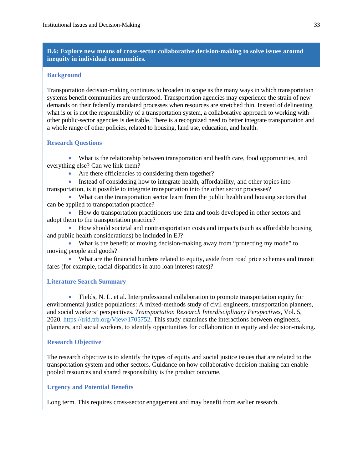#### **D.6: Explore new means of cross-sector collaborative decision-making to solve issues around inequity in individual communities.**

#### **Background**

Transportation decision-making continues to broaden in scope as the many ways in which transportation systems benefit communities are understood. Transportation agencies may experience the strain of new demands on their federally mandated processes when resources are stretched thin. Instead of delineating what is or is not the responsibility of a transportation system, a collaborative approach to working with other public-sector agencies is desirable. There is a recognized need to better integrate transportation and a whole range of other policies, related to housing, land use, education, and health.

#### **Research Questions**

• What is the relationship between transportation and health care, food opportunities, and everything else? Can we link them?

• Are there efficiencies to considering them together?

• Instead of considering how to integrate health, affordability, and other topics into transportation, is it possible to integrate transportation into the other sector processes?

• What can the transportation sector learn from the public health and housing sectors that can be applied to transportation practice?

• How do transportation practitioners use data and tools developed in other sectors and adopt them to the transportation practice?

• How should societal and nontransportation costs and impacts (such as affordable housing and public health considerations) be included in EJ?

• What is the benefit of moving decision-making away from "protecting my mode" to moving people and goods?

• What are the financial burdens related to equity, aside from road price schemes and transit fares (for example, racial disparities in auto loan interest rates)?

#### **Literature Search Summary**

• Fields, N. L. et al. Interprofessional collaboration to promote transportation equity for environmental justice populations: A mixed-methods study of civil engineers, transportation planners, and social workers' perspectives. *Transportation Research Interdisciplinary Perspectives*, Vol. 5, 2020. https://trid.trb.org/View/1705752. This study examines the interactions between engineers, planners, and social workers, to identify opportunities for collaboration in equity and decision-making.

#### **Research Objective**

The research objective is to identify the types of equity and social justice issues that are related to the transportation system and other sectors. Guidance on how collaborative decision-making can enable pooled resources and shared responsibility is the product outcome.

#### **Urgency and Potential Benefits**

Long term. This requires cross-sector engagement and may benefit from earlier research.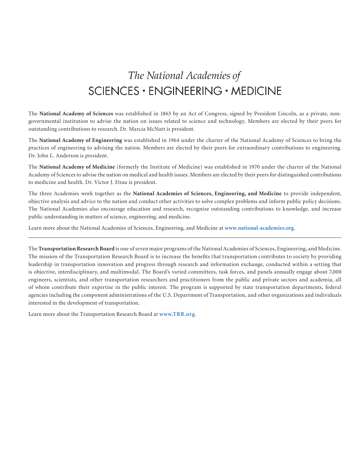## <span id="page-38-0"></span>The National Academies of SCIENCES · ENGINEERING · MEDICINE

The **National Academy of Sciences** was established in 1863 by an Act of Congress, signed by President Lincoln, as a private, nongovernmental institution to advise the nation on issues related to science and technology. Members are elected by their peers for outstanding contributions to research. Dr. Marcia McNutt is president.

The **National Academy of Engineering** was established in 1964 under the charter of the National Academy of Sciences to bring the practices of engineering to advising the nation. Members are elected by their peers for extraordinary contributions to engineering. Dr. John L. Anderson is president.

The **National Academy of Medicine** (formerly the Institute of Medicine) was established in 1970 under the charter of the National Academy of Sciences to advise the nation on medical and health issues. Members are elected by their peers for distinguished contributions to medicine and health. Dr. Victor J. Dzau is president.

The three Academies work together as the **National Academies of Sciences, Engineering, and Medicine** to provide independent, objective analysis and advice to the nation and conduct other activities to solve complex problems and inform public policy decisions. The National Academies also encourage education and research, recognize outstanding contributions to knowledge, and increase public understanding in matters of science, engineering, and medicine.

Learn more about the National Academies of Sciences, Engineering, and Medicine at **www.national-academies.org**.

The **Transportation Research Board** is one of seven major programs of the National Academies of Sciences, Engineering, and Medicine. The mission of the Transportation Research Board is to increase the benefits that transportation contributes to society by providing leadership in transportation innovation and progress through research and information exchange, conducted within a setting that is objective, interdisciplinary, and multimodal. The Board's varied committees, task forces, and panels annually engage about 7,000 engineers, scientists, and other transportation researchers and practitioners from the public and private sectors and academia, all of whom contribute their expertise in the public interest. The program is supported by state transportation departments, federal agencies including the component administrations of the U.S. Department of Transportation, and other organizations and individuals interested in the development of transportation.

Learn more about the Transportation Research Board at **www.TRB.org**.